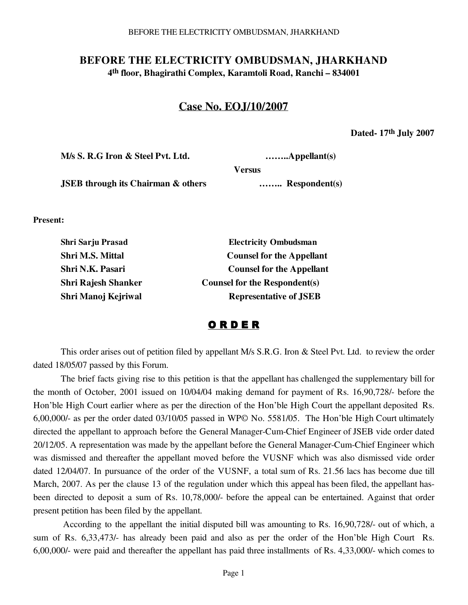#### BEFORE THE ELECTRICITY OMBUDSMAN, JHARKHAND

## **BEFORE THE ELECTRICITY OMBUDSMAN, JHARKHAND 4th floor, Bhagirathi Complex, Karamtoli Road, Ranchi – 834001**

# **Case No. EOJ/10/2007**

**Versus**

**Dated- 17th July 2007**

**M/s S. R.G Iron & Steel Pvt. Ltd. ……..Appellant(s)**

 **JSEB through its Chairman & others ……... Respondent(s)** 

**Present:**

| <b>Electricity Ombudsman</b>         |
|--------------------------------------|
| <b>Counsel for the Appellant</b>     |
| <b>Counsel for the Appellant</b>     |
| <b>Counsel for the Respondent(s)</b> |
| <b>Representative of JSEB</b>        |
|                                      |

### O R D E R

This order arises out of petition filed by appellant M/s S.R.G. Iron & Steel Pvt. Ltd. to review the order dated 18/05/07 passed by this Forum.

The brief facts giving rise to this petition is that the appellant has challenged the supplementary bill for the month of October, 2001 issued on 10/04/04 making demand for payment of Rs. 16,90,728/- before the Hon'ble High Court earlier where as per the direction of the Hon'ble High Court the appellant deposited Rs. 6,00,000/- as per the order dated 03/10/05 passed in WP© No. 5581/05. The Hon'ble High Court ultimately directed the appellant to approach before the General Manager-Cum-Chief Engineer of JSEB vide order dated 20/12/05. A representation was made by the appellant before the General Manager-Cum-Chief Engineer which was dismissed and thereafter the appellant moved before the VUSNF which was also dismissed vide order dated 12/04/07. In pursuance of the order of the VUSNF, a total sum of Rs. 21.56 lacs has become due till March, 2007. As per the clause 13 of the regulation under which this appeal has been filed, the appellant hasbeen directed to deposit a sum of Rs. 10,78,000/- before the appeal can be entertained. Against that order present petition has been filed by the appellant.

 According to the appellant the initial disputed bill was amounting to Rs. 16,90,728/- out of which, a sum of Rs. 6,33,473/- has already been paid and also as per the order of the Hon'ble High Court Rs. 6,00,000/- were paid and thereafter the appellant has paid three installments of Rs. 4,33,000/- which comes to